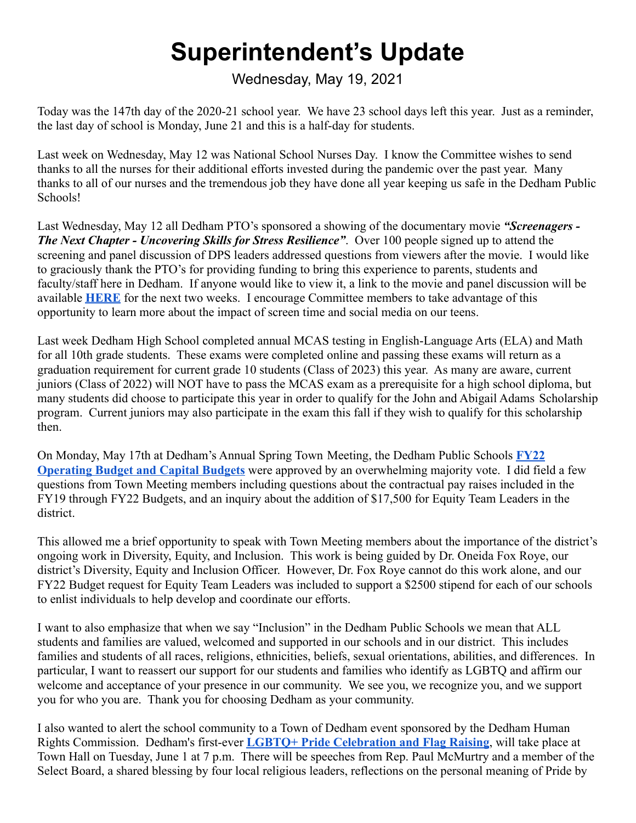## **Superintendent's Update**

Wednesday, May 19, 2021

Today was the 147th day of the 2020-21 school year. We have 23 school days left this year. Just as a reminder, the last day of school is Monday, June 21 and this is a half-day for students.

Last week on Wednesday, May 12 was National School Nurses Day. I know the Committee wishes to send thanks to all the nurses for their additional efforts invested during the pandemic over the past year. Many thanks to all of our nurses and the tremendous job they have done all year keeping us safe in the Dedham Public Schools!

Last Wednesday, May 12 all Dedham PTO's sponsored a showing of the documentary movie *"Screenagers - The Next Chapter - Uncovering Skills for Stress Resilience"*. Over 100 people signed up to attend the screening and panel discussion of DPS leaders addressed questions from viewers after the movie. I would like to graciously thank the PTO's for providing funding to bring this experience to parents, students and faculty/staff here in Dedham. If anyone would like to view it, a link to the movie and panel discussion will be available **[HERE](https://www.bigmarker.com/starhousemedia/Dedham-Public-Schools-PTOs?bmid=03b023fc4f7e)** for the next two weeks. I encourage Committee members to take advantage of this opportunity to learn more about the impact of screen time and social media on our teens.

Last week Dedham High School completed annual MCAS testing in English-Language Arts (ELA) and Math for all 10th grade students. These exams were completed online and passing these exams will return as a graduation requirement for current grade 10 students (Class of 2023) this year. As many are aware, current juniors (Class of 2022) will NOT have to pass the MCAS exam as a prerequisite for a high school diploma, but many students did choose to participate this year in order to qualify for the John and Abigail Adams Scholarship program. Current juniors may also participate in the exam this fall if they wish to qualify for this scholarship then.

On Monday, May 17th at Dedham's Annual Spring Town Meeting, the Dedham Public Schools **[FY22](https://www.dedham.k12.ma.us/cms/lib/MA02213180/Centricity/ModuleInstance/3993/FY2022%20BudgetBook_3.12.2021_Final.pdf) [Operating Budget and Capital Budgets](https://www.dedham.k12.ma.us/cms/lib/MA02213180/Centricity/ModuleInstance/3993/FY2022%20BudgetBook_3.12.2021_Final.pdf)** were approved by an overwhelming majority vote. I did field a few questions from Town Meeting members including questions about the contractual pay raises included in the FY19 through FY22 Budgets, and an inquiry about the addition of \$17,500 for Equity Team Leaders in the district.

This allowed me a brief opportunity to speak with Town Meeting members about the importance of the district's ongoing work in Diversity, Equity, and Inclusion. This work is being guided by Dr. Oneida Fox Roye, our district's Diversity, Equity and Inclusion Officer. However, Dr. Fox Roye cannot do this work alone, and our FY22 Budget request for Equity Team Leaders was included to support a \$2500 stipend for each of our schools to enlist individuals to help develop and coordinate our efforts.

I want to also emphasize that when we say "Inclusion" in the Dedham Public Schools we mean that ALL students and families are valued, welcomed and supported in our schools and in our district. This includes families and students of all races, religions, ethnicities, beliefs, sexual orientations, abilities, and differences. In particular, I want to reassert our support for our students and families who identify as LGBTQ and affirm our welcome and acceptance of your presence in our community. We see you, we recognize you, and we support you for who you are. Thank you for choosing Dedham as your community.

I also wanted to alert the school community to a Town of Dedham event sponsored by the Dedham Human Rights Commission. Dedham's first-ever **LGBTQ+ Pride [Celebration and Flag Raising](https://drive.google.com/file/d/1J490QAF1YPxrVi49mq-mfhO9ekOi0b50/view?usp=sharing)**, will take place at Town Hall on Tuesday, June 1 at 7 p.m. There will be speeches from Rep. Paul McMurtry and a member of the Select Board, a shared blessing by four local religious leaders, reflections on the personal meaning of Pride by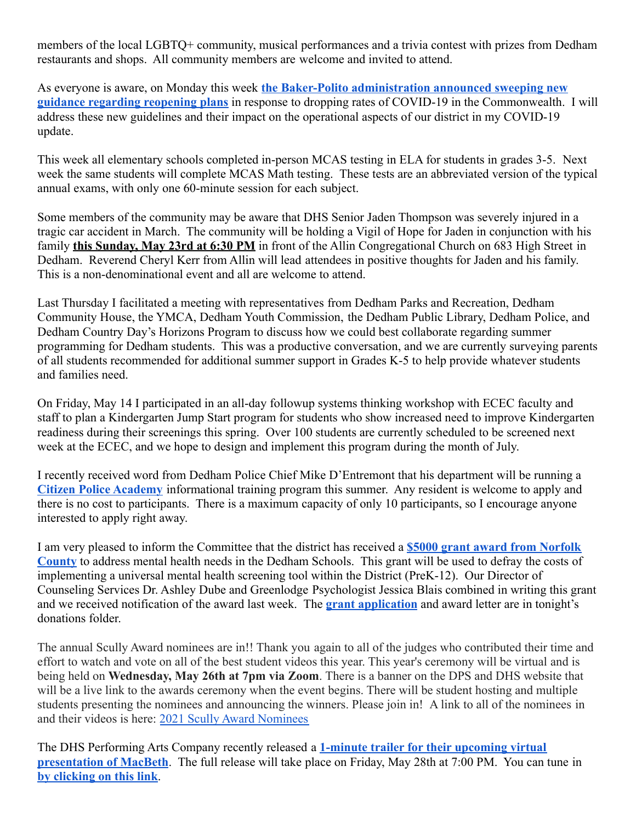members of the local LGBTQ+ community, musical performances and a trivia contest with prizes from Dedham restaurants and shops. All community members are welcome and invited to attend.

As everyone is aware, on Monday this week **the Baker-Polito [administration announced sweeping new](https://www.mass.gov/news/baker-polito-administration-to-lift-covid-restrictions-may-29-state-to-meet-vaccination-goal-by-beginning-of-june) [guidance regarding reopening plans](https://www.mass.gov/news/baker-polito-administration-to-lift-covid-restrictions-may-29-state-to-meet-vaccination-goal-by-beginning-of-june)** in response to dropping rates of COVID-19 in the Commonwealth. I will address these new guidelines and their impact on the operational aspects of our district in my COVID-19 update.

This week all elementary schools completed in-person MCAS testing in ELA for students in grades 3-5. Next week the same students will complete MCAS Math testing. These tests are an abbreviated version of the typical annual exams, with only one 60-minute session for each subject.

Some members of the community may be aware that DHS Senior Jaden Thompson was severely injured in a tragic car accident in March. The community will be holding a Vigil of Hope for Jaden in conjunction with his family **this Sunday, May 23rd at 6:30 PM** in front of the Allin Congregational Church on 683 High Street in Dedham. Reverend Cheryl Kerr from Allin will lead attendees in positive thoughts for Jaden and his family. This is a non-denominational event and all are welcome to attend.

Last Thursday I facilitated a meeting with representatives from Dedham Parks and Recreation, Dedham Community House, the YMCA, Dedham Youth Commission, the Dedham Public Library, Dedham Police, and Dedham Country Day's Horizons Program to discuss how we could best collaborate regarding summer programming for Dedham students. This was a productive conversation, and we are currently surveying parents of all students recommended for additional summer support in Grades K-5 to help provide whatever students and families need.

On Friday, May 14 I participated in an all-day followup systems thinking workshop with ECEC faculty and staff to plan a Kindergarten Jump Start program for students who show increased need to improve Kindergarten readiness during their screenings this spring. Over 100 students are currently scheduled to be screened next week at the ECEC, and we hope to design and implement this program during the month of July.

I recently received word from Dedham Police Chief Mike D'Entremont that his department will be running a **[Citizen Police Academy](https://drive.google.com/file/d/1i92kWjkjYao2kXuOm-qNPWaGO7VMNzFH/view?usp=sharing)** informational training program this summer. Any resident is welcome to apply and there is no cost to participants. There is a maximum capacity of only 10 participants, so I encourage anyone interested to apply right away.

I am very pleased to inform the Committee that the district has received a **[\\$5000 grant award from Norfolk](https://drive.google.com/file/d/1pS6cp5Zu6ZzGYOvswIpolGuNnCcb3a0B/view?usp=sharing) [County](https://drive.google.com/file/d/1pS6cp5Zu6ZzGYOvswIpolGuNnCcb3a0B/view?usp=sharing)** to address mental health needs in the Dedham Schools. This grant will be used to defray the costs of implementing a universal mental health screening tool within the District (PreK-12). Our Director of Counseling Services Dr. Ashley Dube and Greenlodge Psychologist Jessica Blais combined in writing this grant and we received notification of the award last week. The **[grant application](https://docs.google.com/document/d/1Yehi8TXiAdA_xljKi_hDjLy0uTYBu55HoTjCYf5h5jM/edit?usp=sharing)** and award letter are in tonight's donations folder.

The annual Scully Award nominees are in!! Thank you again to all of the judges who contributed their time and effort to watch and vote on all of the best student videos this year. This year's ceremony will be virtual and is being held on **Wednesday, May 26th at 7pm via Zoom**. There is a banner on the DPS and DHS website that will be a live link to the awards ceremony when the event begins. There will be student hosting and multiple students presenting the nominees and announcing the winners. Please join in! A link to all of the nominees in and their videos is here: [2021 Scully Award Nominees](https://docs.google.com/document/d/1oOWeLQiYVydWvBv6FJCcSl0--YtvXd8bQ4pskKjIh68/edit?usp=sharing)

The DHS Performing Arts Company recently released a **[1-minute trailer for their upcoming virtual](https://drive.google.com/file/d/1YNHHAYB6Yu-cLQDSGaDn4jmltdIYoceZ/view) [presentation of MacBeth](https://drive.google.com/file/d/1YNHHAYB6Yu-cLQDSGaDn4jmltdIYoceZ/view)**. The full release will take place on Friday, May 28th at 7:00 PM. You can tune in **[by clicking on this link](https://drive.google.com/file/d/1YNHHAYB6Yu-cLQDSGaDn4jmltdIYoceZ/view)**.